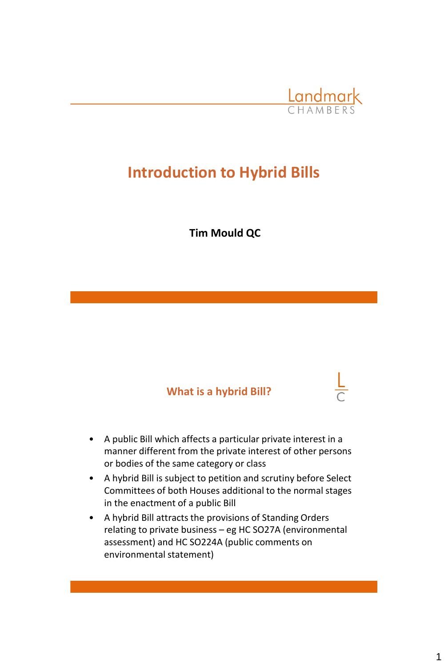

# **Introduction to Hybrid Bills**

**Tim Mould QC**

#### **What is a hybrid Bill?**

- A public Bill which affects a particular private interest in a manner different from the private interest of other persons or bodies of the same category or class
- A hybrid Bill is subject to petition and scrutiny before Select Committees of both Houses additional to the normal stages in the enactment of a public Bill
- A hybrid Bill attracts the provisions of Standing Orders relating to private business – eg HC SO27A (environmental assessment) and HC SO224A (public comments on environmental statement)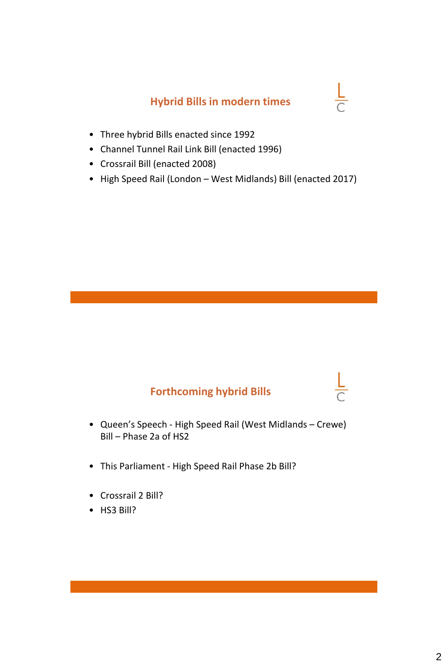#### **Hybrid Bills in modern times**

 $\frac{L}{C}$ 

- Three hybrid Bills enacted since 1992
- Channel Tunnel Rail Link Bill (enacted 1996)
- Crossrail Bill (enacted 2008)
- High Speed Rail (London West Midlands) Bill (enacted 2017)

#### **Forthcoming hybrid Bills**

- Queen's Speech High Speed Rail (West Midlands Crewe) Bill – Phase 2a of HS2
- This Parliament High Speed Rail Phase 2b Bill?
- Crossrail 2 Bill?
- HS3 Bill?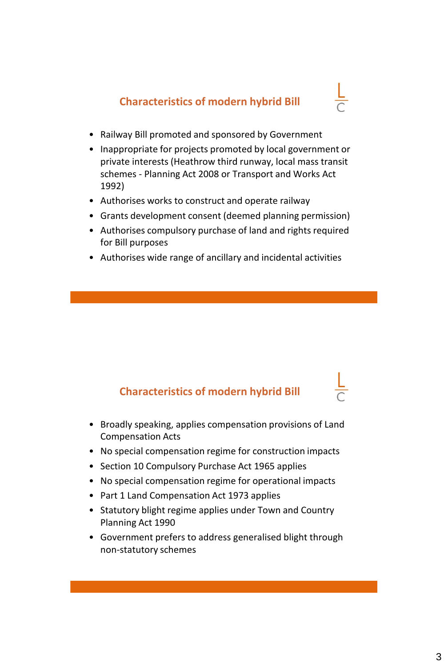**Characteristics of modern hybrid Bill**



- Railway Bill promoted and sponsored by Government
- Inappropriate for projects promoted by local government or private interests (Heathrow third runway, local mass transit schemes - Planning Act 2008 or Transport and Works Act 1992)
- Authorises works to construct and operate railway
- Grants development consent (deemed planning permission)
- Authorises compulsory purchase of land and rights required for Bill purposes
- Authorises wide range of ancillary and incidental activities

### **Characteristics of modern hybrid Bill**

- Broadly speaking, applies compensation provisions of Land Compensation Acts
- No special compensation regime for construction impacts
- Section 10 Compulsory Purchase Act 1965 applies
- No special compensation regime for operational impacts
- Part 1 Land Compensation Act 1973 applies
- Statutory blight regime applies under Town and Country Planning Act 1990
- Government prefers to address generalised blight through non-statutory schemes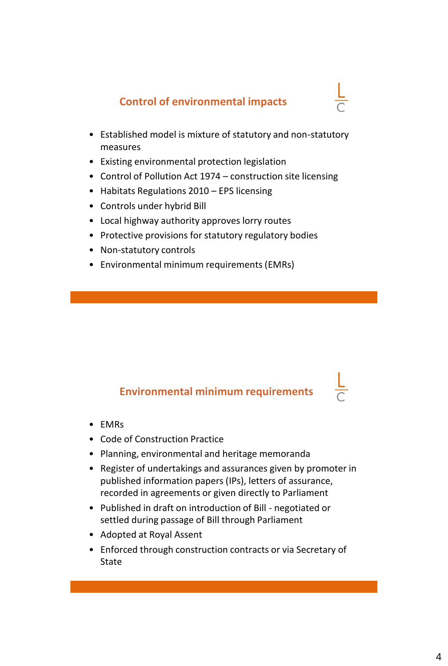#### **Control of environmental impacts**

- Established model is mixture of statutory and non-statutory measures
- Existing environmental protection legislation
- Control of Pollution Act 1974 construction site licensing
- Habitats Regulations 2010 EPS licensing
- Controls under hybrid Bill
- Local highway authority approves lorry routes
- Protective provisions for statutory regulatory bodies
- Non-statutory controls
- Environmental minimum requirements (EMRs)

#### **Environmental minimum requirements**

- EMRs
- Code of Construction Practice
- Planning, environmental and heritage memoranda
- Register of undertakings and assurances given by promoter in published information papers (IPs), letters of assurance, recorded in agreements or given directly to Parliament
- Published in draft on introduction of Bill negotiated or settled during passage of Bill through Parliament
- Adopted at Royal Assent
- Enforced through construction contracts or via Secretary of **State**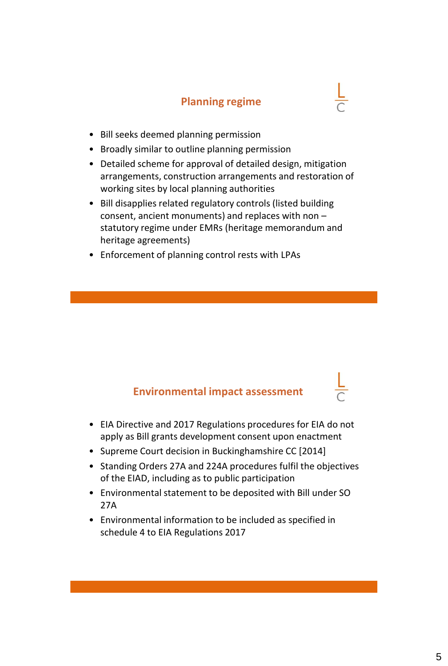#### **Planning regime**

- Bill seeks deemed planning permission
- Broadly similar to outline planning permission
- Detailed scheme for approval of detailed design, mitigation arrangements, construction arrangements and restoration of working sites by local planning authorities
- Bill disapplies related regulatory controls (listed building consent, ancient monuments) and replaces with non – statutory regime under EMRs (heritage memorandum and heritage agreements)
- Enforcement of planning control rests with LPAs

#### **Environmental impact assessment**

- EIA Directive and 2017 Regulations procedures for EIA do not apply as Bill grants development consent upon enactment
- Supreme Court decision in Buckinghamshire CC [2014]
- Standing Orders 27A and 224A procedures fulfil the objectives of the EIAD, including as to public participation
- Environmental statement to be deposited with Bill under SO 27A
- Environmental information to be included as specified in schedule 4 to EIA Regulations 2017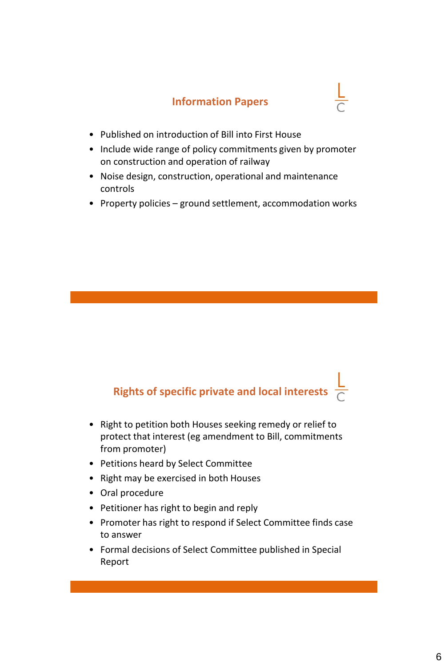#### **Information Papers**



- Published on introduction of Bill into First House
- Include wide range of policy commitments given by promoter on construction and operation of railway
- Noise design, construction, operational and maintenance controls
- Property policies ground settlement, accommodation works

## **Rights of specific private and local interests**

- Right to petition both Houses seeking remedy or relief to protect that interest (eg amendment to Bill, commitments from promoter)
- Petitions heard by Select Committee
- Right may be exercised in both Houses
- Oral procedure
- Petitioner has right to begin and reply
- Promoter has right to respond if Select Committee finds case to answer
- Formal decisions of Select Committee published in Special Report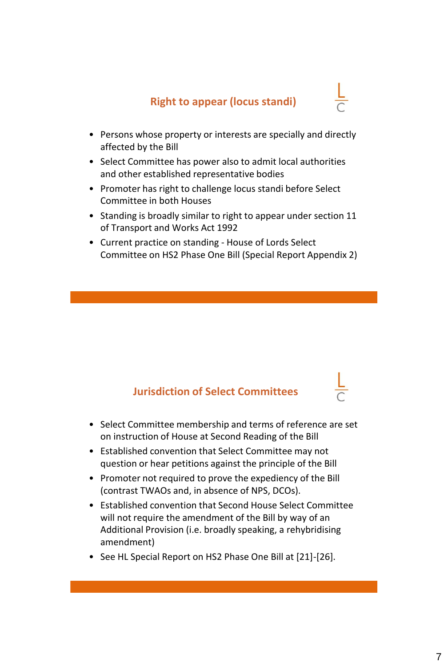- Persons whose property or interests are specially and directly affected by the Bill
- Select Committee has power also to admit local authorities and other established representative bodies
- Promoter has right to challenge locus standi before Select Committee in both Houses
- Standing is broadly similar to right to appear under section 11 of Transport and Works Act 1992
- Current practice on standing House of Lords Select Committee on HS2 Phase One Bill (Special Report Appendix 2)

#### **Jurisdiction of Select Committees**

- Select Committee membership and terms of reference are set on instruction of House at Second Reading of the Bill
- Established convention that Select Committee may not question or hear petitions against the principle of the Bill
- Promoter not required to prove the expediency of the Bill (contrast TWAOs and, in absence of NPS, DCOs).
- Established convention that Second House Select Committee will not require the amendment of the Bill by way of an Additional Provision (i.e. broadly speaking, a rehybridising amendment)
- See HL Special Report on HS2 Phase One Bill at [21]-[26].